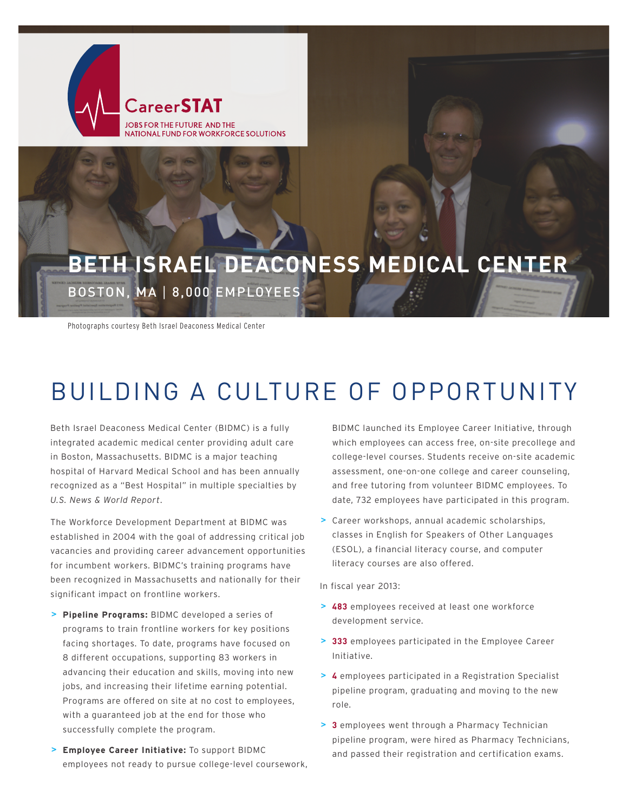

## **BETH ISRAEL DEACONESS MEDICAL CENTER** BOSTON, MA | 8,000 EMPLOYEES

Photographs courtesy Beth Israel Deaconess Medical Center

# BUILDING A CULTURE OF OPPORTUNITY

Beth Israel Deaconess Medical Center (BIDMC) is a fully integrated academic medical center providing adult care in Boston, Massachusetts. BIDMC is a major teaching hospital of Harvard Medical School and has been annually recognized as a "Best Hospital" in multiple specialties by *U.S. News & World Report*.

The Workforce Development Department at BIDMC was established in 2004 with the goal of addressing critical job vacancies and providing career advancement opportunities for incumbent workers. BIDMC's training programs have been recognized in Massachusetts and nationally for their significant impact on frontline workers.

- **> Pipeline Programs:** BIDMC developed a series of programs to train frontline workers for key positions facing shortages. To date, programs have focused on 8 different occupations, supporting 83 workers in advancing their education and skills, moving into new jobs, and increasing their lifetime earning potential. Programs are offered on site at no cost to employees, with a guaranteed job at the end for those who successfully complete the program.
- **> Employee Career Initiative:** To support BIDMC employees not ready to pursue college-level coursework,

BIDMC launched its Employee Career Initiative, through which employees can access free, on-site precollege and college-level courses. Students receive on-site academic assessment, one-on-one college and career counseling, and free tutoring from volunteer BIDMC employees. To date, 732 employees have participated in this program.

**>** Career workshops, annual academic scholarships, classes in English for Speakers of Other Languages (ESOL), a financial literacy course, and computer literacy courses are also offered.

In fiscal year 2013:

- **> 483** employees received at least one workforce development service.
- **> 333** employees participated in the Employee Career Initiative.
- **> 4** employees participated in a Registration Specialist pipeline program, graduating and moving to the new role.
- **> 3** employees went through a Pharmacy Technician pipeline program, were hired as Pharmacy Technicians, and passed their registration and certification exams.